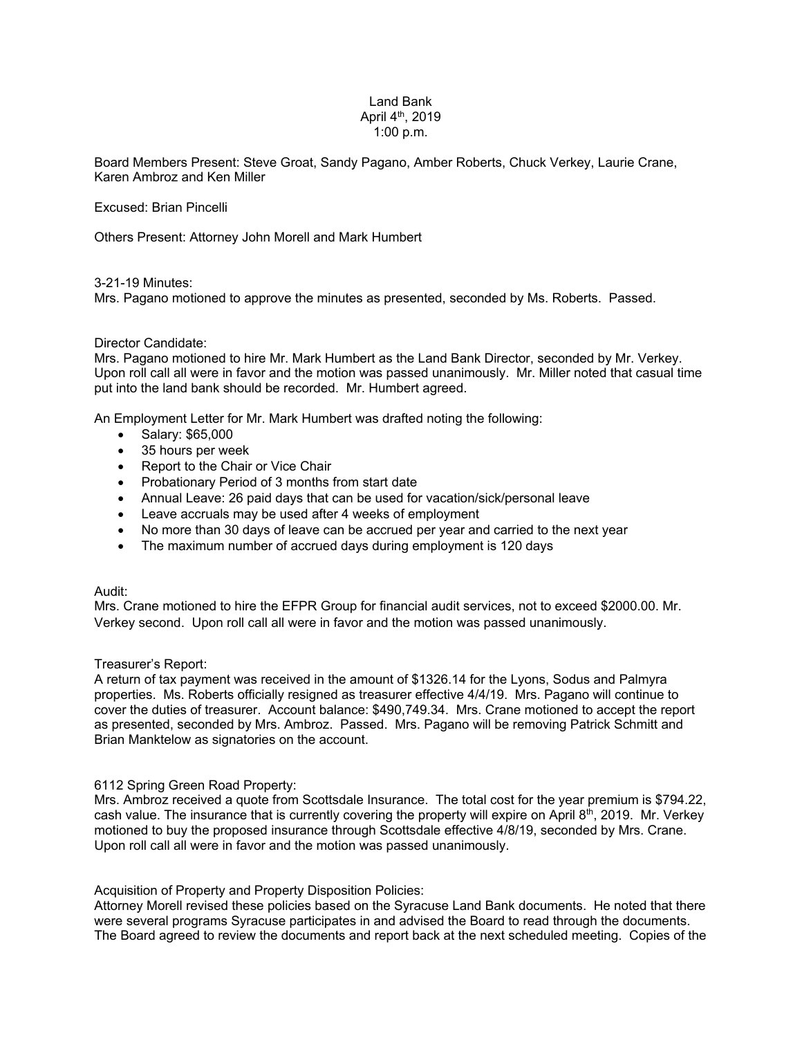# Land Bank April 4th, 2019 1:00 p.m.

Board Members Present: Steve Groat, Sandy Pagano, Amber Roberts, Chuck Verkey, Laurie Crane, Karen Ambroz and Ken Miller

Excused: Brian Pincelli

Others Present: Attorney John Morell and Mark Humbert

### 3-21-19 Minutes:

Mrs. Pagano motioned to approve the minutes as presented, seconded by Ms. Roberts. Passed.

#### Director Candidate:

Mrs. Pagano motioned to hire Mr. Mark Humbert as the Land Bank Director, seconded by Mr. Verkey. Upon roll call all were in favor and the motion was passed unanimously. Mr. Miller noted that casual time put into the land bank should be recorded. Mr. Humbert agreed.

An Employment Letter for Mr. Mark Humbert was drafted noting the following:

- Salary: \$65,000
- 35 hours per week
- Report to the Chair or Vice Chair
- Probationary Period of 3 months from start date
- Annual Leave: 26 paid days that can be used for vacation/sick/personal leave
- Leave accruals may be used after 4 weeks of employment
- No more than 30 days of leave can be accrued per year and carried to the next year
- The maximum number of accrued days during employment is 120 days

## Audit:

Mrs. Crane motioned to hire the EFPR Group for financial audit services, not to exceed \$2000.00. Mr. Verkey second. Upon roll call all were in favor and the motion was passed unanimously.

#### Treasurer's Report:

A return of tax payment was received in the amount of \$1326.14 for the Lyons, Sodus and Palmyra properties. Ms. Roberts officially resigned as treasurer effective 4/4/19. Mrs. Pagano will continue to cover the duties of treasurer. Account balance: \$490,749.34. Mrs. Crane motioned to accept the report as presented, seconded by Mrs. Ambroz. Passed. Mrs. Pagano will be removing Patrick Schmitt and Brian Manktelow as signatories on the account.

## 6112 Spring Green Road Property:

Mrs. Ambroz received a quote from Scottsdale Insurance. The total cost for the year premium is \$794.22, cash value. The insurance that is currently covering the property will expire on April 8<sup>th</sup>, 2019. Mr. Verkey motioned to buy the proposed insurance through Scottsdale effective 4/8/19, seconded by Mrs. Crane. Upon roll call all were in favor and the motion was passed unanimously.

## Acquisition of Property and Property Disposition Policies:

Attorney Morell revised these policies based on the Syracuse Land Bank documents. He noted that there were several programs Syracuse participates in and advised the Board to read through the documents. The Board agreed to review the documents and report back at the next scheduled meeting. Copies of the